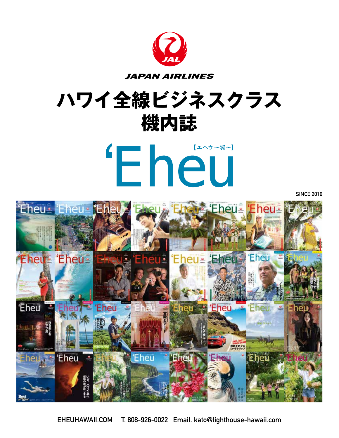

## **ハワイ全線ビジネスクラス 機内誌**



**SINCE 2010**



**EHEUHAWAII.COM T. 808-926-0022 Email. kato@lighthouse-hawaii.com**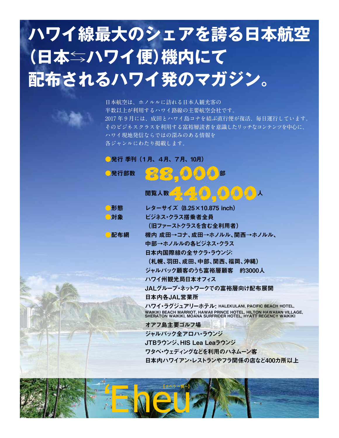## **ハワイ線最大のシェアを誇る日本航空 (日本⇆ハワイ便)機内にて 配布されるハワイ発のマガジン。**

**日本航空は、ホノルルに訪れる日本人観光客の 半数以上が利用するハワイ路線の主要航空会社です。 2017 年 9 月には、成田とハワイ島コナを結ぶ直行便が復活、毎日運行しています。 そのビジネスクラスを利用する富裕層読者を意識したリッチなコンテンツを中心に、 ハワイ現地発信ならではの深みのある情報を 各ジャンルにわたり掲載します。**

## ●発行 季刊 (1月、4月、7月、10月)

| 発行部数 | 部                                                                                                                                                                                          |
|------|--------------------------------------------------------------------------------------------------------------------------------------------------------------------------------------------|
|      | 閲覧人数 つくりののの人                                                                                                                                                                               |
| ■形態  | レターサイズ (8.25×10.875 inch)                                                                                                                                                                  |
| ■対象  | ビジネス・クラス搭乗者全員                                                                                                                                                                              |
|      | (旧ファーストクラスを含む全利用者)                                                                                                                                                                         |
| 配布網  | 機内 成田→コナ、成田→ホノルル、関西→ホノルル、                                                                                                                                                                  |
|      | 中部→ホノルルの各ビジネス・クラス                                                                                                                                                                          |
|      | 日本内国際線の全サクラ・ラウンジ:                                                                                                                                                                          |
|      | (札幌、羽田、成田、中部、関西、福岡、沖縄)                                                                                                                                                                     |
|      | ジャルパック顧客のうち富裕層顧客 約3000人                                                                                                                                                                    |
|      | ハワイ州観光局日本オフィス                                                                                                                                                                              |
|      | JALグループ・ネットワークでの富裕層向け配布展開                                                                                                                                                                  |
|      | 日本内各JAL営業所                                                                                                                                                                                 |
|      | ハワイ・ラグジュアリーホテル: HALEKULANI, PACIFIC BEACH HOTEL,<br>WAIKIKI BEACH MARRIOT, HAWAII PRINCE HOTEL, HILTON HAWAIIAN VILLAGE,<br>SHERATON WAIKIKI, MOANA SURFRIDER HOTEL, HYATT REGENCY WAIKIKI |
|      | オアフ島主要ゴルフ場                                                                                                                                                                                 |
|      | ジャルパック全アロハ・ラウンジ                                                                                                                                                                            |
|      | JTBラウンジ、HIS Lea Leaラウンジ                                                                                                                                                                    |
|      | ワタベ・ウェディングなどを利用のハネムーン客                                                                                                                                                                     |
|      | 日本内ハワイアン・レストランやフラ関係の店など400カ所以上                                                                                                                                                             |

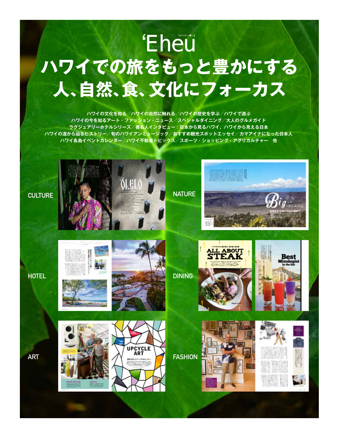## 'Eheu **ハワイでの旅をもっと豊かにする 人、自然、食、文化にフォーカス**

**ハワイの文化を知る/ハワイの自然に触れる/ハワイの歴史を学ぶ/ハワイで遊ぶ ハワイの今を知るアート・ファッション・ニュース/スペシャルダイニング/大人のグルメガイド ラグジュアリーホテルシリーズ/著名人インタビュー:日本から見るハワイ、ハワイから見える日本 ハワイの道から辿るヒストリー/旬のハワイアンミュージック/おすすめ観光スポットエッセイ/カマアイナになった日本人 ハワイ各島イベントカレンダー/ハワイ不動産トピックス/スポーツ・ショッピング・アグリカルチャー 他**



**ART**